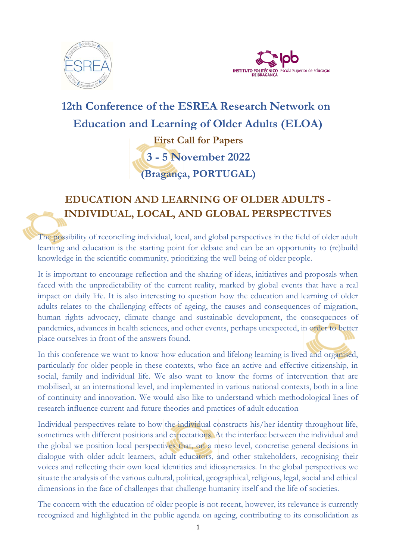



# **12th Conference of the ESREA Research Network on Education and Learning of Older Adults (ELOA) First Call for Papers 3 - 5 November 2022 (Bragança, PORTUGAL)**

## **EDUCATION AND LEARNING OF OLDER ADULTS - INDIVIDUAL, LOCAL, AND GLOBAL PERSPECTIVES**

The possibility of reconciling individual, local, and global perspectives in the field of older adult learning and education is the starting point for debate and can be an opportunity to (re)build knowledge in the scientific community, prioritizing the well-being of older people.

It is important to encourage reflection and the sharing of ideas, initiatives and proposals when faced with the unpredictability of the current reality, marked by global events that have a real impact on daily life. It is also interesting to question how the education and learning of older adults relates to the challenging effects of ageing, the causes and consequences of migration, human rights advocacy, climate change and sustainable development, the consequences of pandemics, advances in health sciences, and other events, perhaps unexpected, in order to better place ourselves in front of the answers found.

In this conference we want to know how education and lifelong learning is lived and organised, particularly for older people in these contexts, who face an active and effective citizenship, in social, family and individual life. We also want to know the forms of intervention that are mobilised, at an international level, and implemented in various national contexts, both in a line of continuity and innovation. We would also like to understand which methodological lines of research influence current and future theories and practices of adult education

Individual perspectives relate to how the individual constructs his/her identity throughout life, sometimes with different positions and expectations. At the interface between the individual and the global we position local perspectives that, on a meso level, concretise general decisions in dialogue with older adult learners, adult educators, and other stakeholders, recognising their voices and reflecting their own local identities and idiosyncrasies. In the global perspectives we situate the analysis of the various cultural, political, geographical, religious, legal, social and ethical dimensions in the face of challenges that challenge humanity itself and the life of societies.

The concern with the education of older people is not recent, however, its relevance is currently recognized and highlighted in the public agenda on ageing, contributing to its consolidation as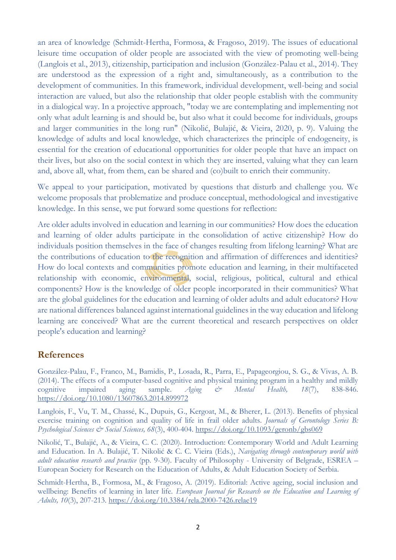an area of knowledge (Schmidt-Hertha, Formosa, & Fragoso, 2019). The issues of educational leisure time occupation of older people are associated with the view of promoting well-being (Langlois et al., 2013), citizenship, participation and inclusion (González-Palau et al., 2014). They are understood as the expression of a right and, simultaneously, as a contribution to the development of communities. In this framework, individual development, well-being and social interaction are valued, but also the relationship that older people establish with the community in a dialogical way. In a projective approach, "today we are contemplating and implementing not only what adult learning is and should be, but also what it could become for individuals, groups and larger communities in the long run" (Nikolić, Bulajić, & Vieira, 2020, p. 9). Valuing the knowledge of adults and local knowledge, which characterizes the principle of endogeneity, is essential for the creation of educational opportunities for older people that have an impact on their lives, but also on the social context in which they are inserted, valuing what they can learn and, above all, what, from them, can be shared and (co)built to enrich their community.

We appeal to your participation, motivated by questions that disturb and challenge you. We welcome proposals that problematize and produce conceptual, methodological and investigative knowledge. In this sense, we put forward some questions for reflection:

Are older adults involved in education and learning in our communities? How does the education and learning of older adults participate in the consolidation of active citizenship? How do individuals position themselves in the face of changes resulting from lifelong learning? What are the contributions of education to the recognition and affirmation of differences and identities? How do local contexts and communities promote education and learning, in their multifaceted relationship with economic, environmental, social, religious, political, cultural and ethical components? How is the knowledge of older people incorporated in their communities? What are the global guidelines for the education and learning of older adults and adult educators? How are national differences balanced against international guidelines in the way education and lifelong learning are conceived? What are the current theoretical and research perspectives on older people's education and learning?

#### **References**

González-Palau, F., Franco, M., Bamidis, P., Losada, R., Parra, E., Papageorgiou, S. G., & Vivas, A. B. (2014). The effects of a computer-based cognitive and physical training program in a healthy and mildly cognitive impaired aging sample. *Aging & Mental Health, 18*(7), 838-846. <https://doi.org/10.1080/13607863.2014.899972>

Langlois, F., Vu, T. M., Chassé, K., Dupuis, G., Kergoat, M., & Bherer, L. (2013). Benefits of physical exercise training on cognition and quality of life in frail older adults. *Journals of Gerontology Series B: Psychological Sciences & Social Sciences, 68*(3), 400-404.<https://doi.org/10.1093/geronb/gbs069>

Nikolić, T., Bulajić, A., & Vieira, C. C. (2020). Introduction: Contemporary World and Adult Learning and Education. In A. Bulajić, T. Nikolić & C. C. Vieira (Eds.), *Navigating through contemporary world with adult education research and practice* (pp. 9-30). Faculty of Philosophy - University of Belgrade, ESREA – European Society for Research on the Education of Adults, & Adult Education Society of Serbia.

Schmidt-Hertha, B., Formosa, M., & Fragoso, A. (2019). Editorial: Active ageing, social inclusion and wellbeing: Benefits of learning in later life. *European Journal for Research on the Education and Learning of Adults, 10*(3), 207-213.<https://doi.org/10.3384/rela.2000-7426.relae19>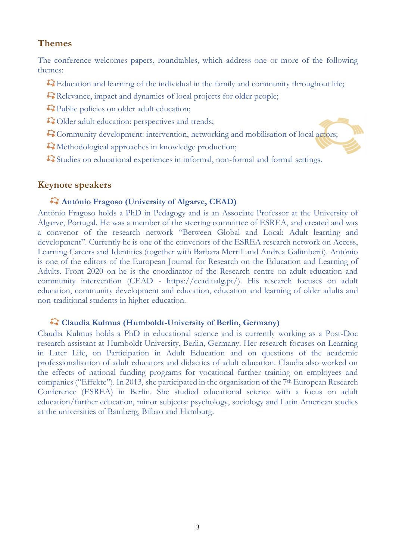#### **Themes**

The conference welcomes papers, roundtables, which address one or more of the following themes:

- Education and learning of the individual in the family and community throughout life;
- Relevance, impact and dynamics of local projects for older people;
- Public policies on older adult education;
- $\bigcirc$  Older adult education: perspectives and trends;
- Community development: intervention, networking and mobilisation of local actors;
- $\mathbb{C}$  Methodological approaches in knowledge production;
- Studies on educational experiences in informal, non-formal and formal settings.

#### **Keynote speakers**

#### **António Fragoso (University of Algarve, CEAD)**

António Fragoso holds a PhD in Pedagogy and is an Associate Professor at the University of Algarve, Portugal. He was a member of the steering committee of ESREA, and created and was a convenor of the research network "Between Global and Local: Adult learning and development". Currently he is one of the convenors of the ESREA research network on Access, Learning Careers and Identities (together with Barbara Merrill and Andrea Galimberti). António is one of the editors of the European Journal for Research on the Education and Learning of Adults. From 2020 on he is the coordinator of the Research centre on adult education and community intervention (CEAD - https://cead.ualg.pt/). His research focuses on adult education, community development and education, education and learning of older adults and non-traditional students in higher education.

#### **Claudia Kulmus (Humboldt-University of Berlin, Germany)**

Claudia Kulmus holds a PhD in educational science and is currently working as a Post-Doc research assistant at Humboldt University, Berlin, Germany. Her research focuses on Learning in Later Life, on Participation in Adult Education and on questions of the academic professionalisation of adult educators and didactics of adult education. Claudia also worked on the effects of national funding programs for vocational further training on employees and companies ("Effekte"). In 2013, she participated in the organisation of the 7th European Research Conference (ESREA) in Berlin. She studied educational science with a focus on adult education/further education, minor subjects: psychology, sociology and Latin American studies at the universities of Bamberg, Bilbao and Hamburg.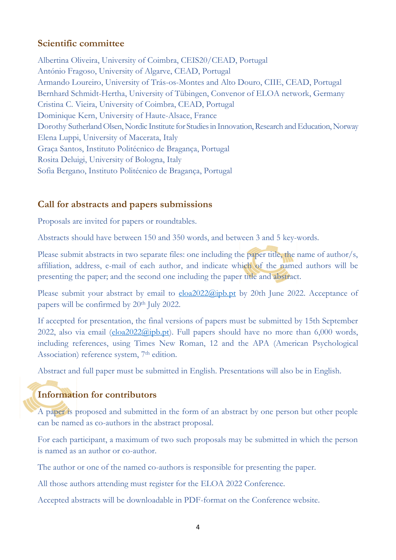#### **Scientific committee**

Albertina Oliveira, University of Coimbra, CEIS20/CEAD, Portugal António Fragoso, University of Algarve, CEAD, Portugal Armando Loureiro, University of Trás-os-Montes and Alto Douro, CIIE, CEAD, Portugal Bernhard Schmidt-Hertha, University of Tübingen, Convenor of ELOA network, Germany Cristina C. Vieira, University of Coimbra, CEAD, Portugal Dominique Kern, University of Haute-Alsace, France Dorothy Sutherland Olsen, Nordic Institute for Studies in Innovation, Research and Education, Norway Elena Luppi, [University of Macerata, Italy](http://sfbct.unimc.it/en?set_language=en) Graça Santos, Instituto Politécnico de Bragança, Portugal Rosita Deluigi, [University of Bologna, Italy](https://edu.unibo.it/en) Sofia Bergano, Instituto Politécnico de Bragança, Portugal

## **Call for abstracts and papers submissions**

Proposals are invited for papers or roundtables.

Abstracts should have between 150 and 350 words, and between 3 and 5 key-words.

Please submit abstracts in two separate files: one including the paper title, the name of author/s, affiliation, address, e-mail of each author, and indicate which of the named authors will be presenting the paper; and the second one including the paper title and abstract.

Please submit your abstract by email to  $\underline{e}$ loa $2022$ @ipb.pt by 20th June 2022. Acceptance of papers will be confirmed by 20<sup>th</sup> July 2022.

If accepted for presentation, the final versions of papers must be submitted by 15th September 2022, also via email [\(eloa2022@ipb.pt\)](mailto:eloa2022@ipb.pt). Full papers should have no more than  $6,000$  words, including references, using Times New Roman, 12 and the APA (American Psychological Association) reference system, 7<sup>th</sup> edition.

Abstract and full paper must be submitted in English. Presentations will also be in English.

## **Information for contributors**

A paper is proposed and submitted in the form of an abstract by one person but other people can be named as co-authors in the abstract proposal.

For each participant, a maximum of two such proposals may be submitted in which the person is named as an author or co-author.

The author or one of the named co-authors is responsible for presenting the paper.

All those authors attending must register for the ELOA 2022 Conference.

Accepted abstracts will be downloadable in PDF-format on the Conference website.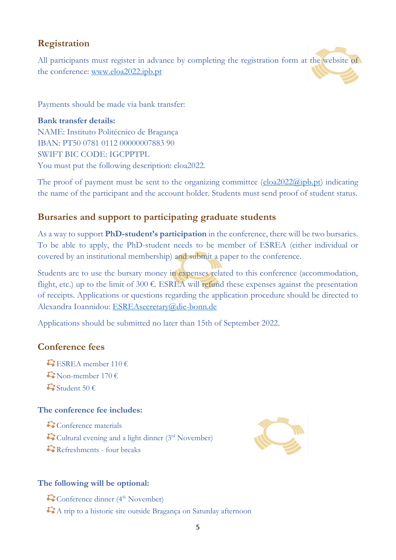## **Registration**

All participants must register in advance by completing the registration form at the website of the conference: [www.eloa2022.ipb.pt](http://www.eloa2022.ipb.pt/)

Payments should be made via bank transfer:

**Bank transfer details:** NAME: Instituto Politécnico de Bragança IBAN: PT50 0781 0112 00000007883 90 SWIFT BIC CODE: IGCPPTPL You must put the following description: eloa2022.

The proof of payment must be sent to the organizing committee  $(\underline{e}loa2022@ipb.pt)$  indicating the name of the participant and the account holder. Students must send proof of student status.

## **Bursaries and support to participating graduate students**

As a way to support **PhD-student's participation** in the conference, there will be two bursaries. To be able to apply, the PhD-student needs to be member of ESREA (either individual or covered by an institutional membership) and submit a paper to the conference.

Students are to use the bursary money in expenses related to this conference (accommodation, flight, etc.) up to the limit of 300  $\epsilon$ . ESREA will refund these expenses against the presentation of receipts. Applications or questions regarding the application procedure should be directed to Alexandra Ioannidou: [ESREAsecretary@die-bonn.de](mailto:ESREAsecretary@die-bonn.de)

Applications should be submitted no later than 15th of September 2022.

#### **Conference fees**

 $\mathbb{Q}$  ESREA member 110 €  $\mathbb{C}$  Non-member 170 €  $\mathbb{S}$ Student 50 €

#### **The conference fee includes:**

Conference materials Cultural evening and a light dinner (3rd November) Refreshments - four breaks



#### **The following will be optional:**

 $\mathbf{C}$  Conference dinner (4<sup>th</sup> November)

A trip to a historic site outside Bragança on Saturday afternoon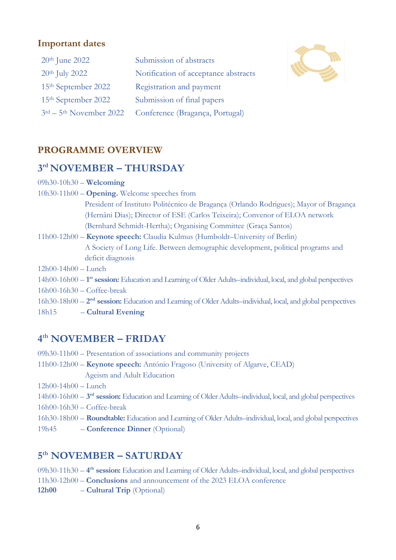#### **Important dates**

| $20th$ June 2022                | Submission of abstracts              |
|---------------------------------|--------------------------------------|
| $20th$ July 2022                | Notification of acceptance abstracts |
| 15 <sup>th</sup> September 2022 | Registration and payment             |
| 15 <sup>th</sup> September 2022 | Submission of final papers           |
| $3rd - 5th$ November 2022       | Conference (Bragança, Portugal)      |



#### **PROGRAMME OVERVIEW**

## **3 rd NOVEMBER – THURSDAY**

| $09h30-10h30$ – Welcoming                                                                                                |
|--------------------------------------------------------------------------------------------------------------------------|
| $10h30-11h00 -$ <b>Opening.</b> Welcome speeches from                                                                    |
| President of Instituto Politécnico de Bragança (Orlando Rodrigues); Mayor of Bragança                                    |
| (Hernâni Dias); Director of ESE (Carlos Teixeira); Convenor of ELOA network                                              |
| (Bernhard Schmidt-Hertha); Organising Committee (Graça Santos)                                                           |
| 11h00-12h00 - Keynote speech: Claudia Kulmus (Humboldt-University of Berlin)                                             |
| A Society of Long Life. Between demographic development, political programs and                                          |
| deficit diagnosis                                                                                                        |
| $12h00-14h00$ - Lunch                                                                                                    |
| 14h00-16h00 - 1 <sup>st</sup> session: Education and Learning of Older Adults-individual, local, and global perspectives |
| $16h00-16h30$ - Coffee-break                                                                                             |
| $16h30-18h00-2nd$ session: Education and Learning of Older Adults-individual, local, and global perspectives             |
| 18h15<br>- Cultural Evening                                                                                              |
|                                                                                                                          |
|                                                                                                                          |

## **4 th NOVEMBER – FRIDAY**

|  |  | 09h30-11h00 - Presentation of associations and community projects |  |
|--|--|-------------------------------------------------------------------|--|
|  |  |                                                                   |  |

11h00-12h00 – **Keynote speech:** António Fragoso (University of Algarve, CEAD) Ageism and Adult Education

12h00-14h00 – Lunch

- 14h00-16h00 **3 rd session:** Education and Learning of Older Adults–individual, local, and global perspectives
- 16h00-16h30 Coffee-break
- 16h30-18h00 **Roundtable:** Education and Learning of Older Adults–individual, local, and global perspectives
- 19h45 **Conference Dinner** (Optional)

## **5 th NOVEMBER – SATURDAY**

09h30-11h30 – **4 th session:** Education and Learning of Older Adults–individual, local, and global perspectives 11h30-12h00 – **Conclusions** and announcement of the 2023 ELOA conference 12h00 – **Cultural Trip** (Optional)